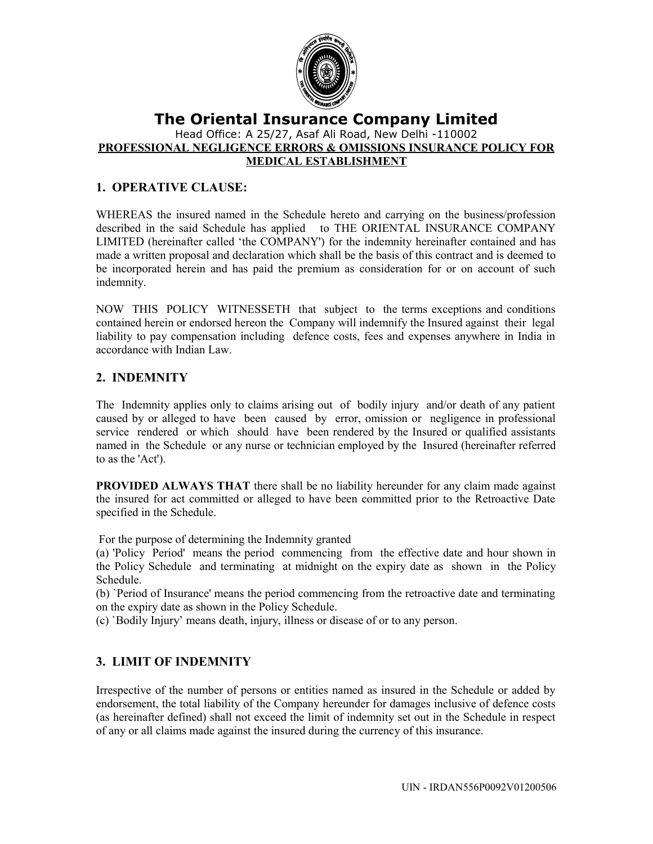

## **The Oriental Insurance Company Limited** Head Office: A 25/27, Asaf Ali Road, New Delhi -110002 **PROFESSIONAL NEGLIGENCE ERRORS & OMISSIONS INSURANCE POLICY FOR MEDICAL ESTABLISHMENT**

# **1. OPERATIVE CLAUSE:**

WHEREAS the insured named in the Schedule hereto and carrying on the business/profession described in the said Schedule has applied to THE ORIENTAL INSURANCE COMPANY LIMITED (hereinafter called 'the COMPANY') for the indemnity hereinafter contained and has made a written proposal and declaration which shall be the basis of this contract and is deemed to be incorporated herein and has paid the premium as consideration for or on account of such indemnity.

NOW THIS POLICY WITNESSETH that subject to the terms exceptions and conditions contained herein or endorsed hereon the Company will indemnify the Insured against their legal liability to pay compensation including defence costs, fees and expenses anywhere in India in accordance with Indian Law.

## **2. INDEMNITY**

The Indemnity applies only to claims arising out of bodily injury and/or death of any patient caused by or alleged to have been caused by error, omission or negligence in professional service rendered or which should have been rendered by the Insured or qualified assistants named in the Schedule or any nurse or technician employed by the Insured (hereinafter referred to as the 'Act').

**PROVIDED ALWAYS THAT** there shall be no liability hereunder for any claim made against the insured for act committed or alleged to have been committed prior to the Retroactive Date specified in the Schedule.

For the purpose of determining the Indemnity granted

(a) 'Policy Period' means the period commencing from the effective date and hour shown in the Policy Schedule and terminating at midnight on the expiry date as shown in the Policy Schedule.

(b) `Period of Insurance' means the period commencing from the retroactive date and terminating on the expiry date as shown in the Policy Schedule.

(c) `Bodily Injury' means death, injury, illness or disease of or to any person.

# **3. LIMIT OF INDEMNITY**

Irrespective of the number of persons or entities named as insured in the Schedule or added by endorsement, the total liability of the Company hereunder for damages inclusive of defence costs (as hereinafter defined) shall not exceed the limit of indemnity set out in the Schedule in respect of any or all claims made against the insured during the currency of this insurance.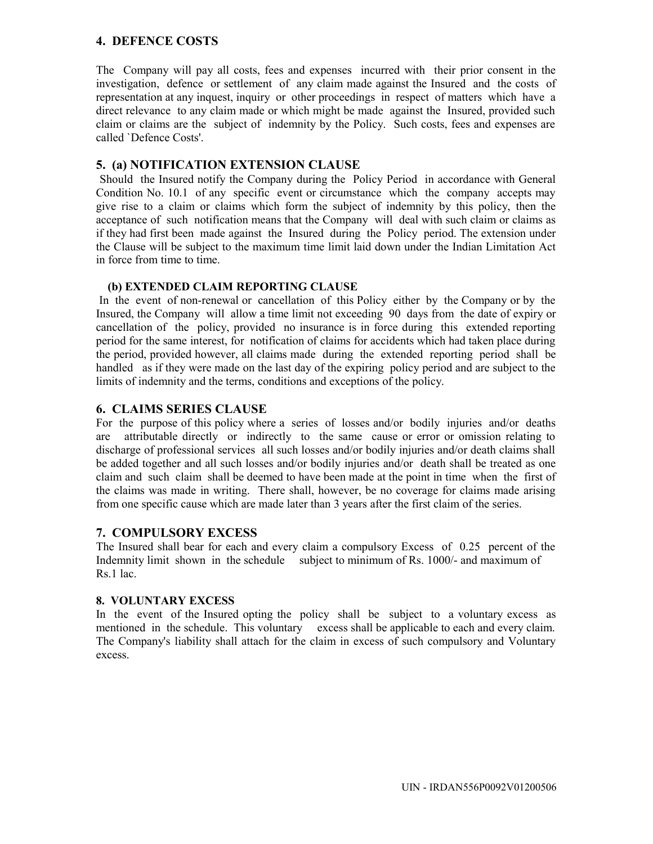### **4. DEFENCE COSTS**

The Company will pay all costs, fees and expenses incurred with their prior consent in the investigation, defence or settlement of any claim made against the Insured and the costs of representation at any inquest, inquiry or other proceedings in respect of matters which have a direct relevance to any claim made or which might be made against the Insured, provided such claim or claims are the subject of indemnity by the Policy. Such costs, fees and expenses are called `Defence Costs'.

### **5. (a) NOTIFICATION EXTENSION CLAUSE**

 Should the Insured notify the Company during the Policy Period in accordance with General Condition No. 10.1 of any specific event or circumstance which the company accepts may give rise to a claim or claims which form the subject of indemnity by this policy, then the acceptance of such notification means that the Company will deal with such claim or claims as if they had first been made against the Insured during the Policy period. The extension under the Clause will be subject to the maximum time limit laid down under the Indian Limitation Act in force from time to time.

#### **(b) EXTENDED CLAIM REPORTING CLAUSE**

 In the event of non-renewal or cancellation of this Policy either by the Company or by the Insured, the Company will allow a time limit not exceeding 90 days from the date of expiry or cancellation of the policy, provided no insurance is in force during this extended reporting period for the same interest, for notification of claims for accidents which had taken place during the period, provided however, all claims made during the extended reporting period shall be handled as if they were made on the last day of the expiring policy period and are subject to the limits of indemnity and the terms, conditions and exceptions of the policy.

### **6. CLAIMS SERIES CLAUSE**

For the purpose of this policy where a series of losses and/or bodily injuries and/or deaths are attributable directly or indirectly to the same cause or error or omission relating to discharge of professional services all such losses and/or bodily injuries and/or death claims shall be added together and all such losses and/or bodily injuries and/or death shall be treated as one claim and such claim shall be deemed to have been made at the point in time when the first of the claims was made in writing. There shall, however, be no coverage for claims made arising from one specific cause which are made later than 3 years after the first claim of the series.

## **7. COMPULSORY EXCESS**

The Insured shall bear for each and every claim a compulsory Excess of 0.25 percent of the Indemnity limit shown in the schedule subject to minimum of Rs. 1000/- and maximum of Rs.1 lac.

#### **8. VOLUNTARY EXCESS**

In the event of the Insured opting the policy shall be subject to a voluntary excess as mentioned in the schedule. This voluntary excess shall be applicable to each and every claim. The Company's liability shall attach for the claim in excess of such compulsory and Voluntary excess.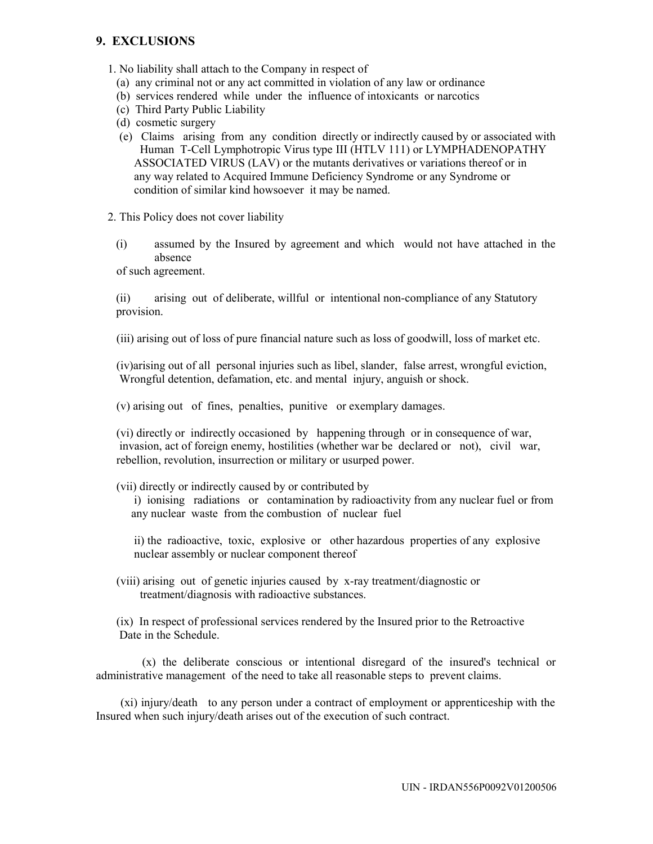## **9. EXCLUSIONS**

1. No liability shall attach to the Company in respect of

- (a) any criminal not or any act committed in violation of any law or ordinance
- (b) services rendered while under the influence of intoxicants or narcotics
- (c) Third Party Public Liability
- (d) cosmetic surgery
- (e) Claims arising from any condition directly or indirectly caused by or associated with Human T-Cell Lymphotropic Virus type III (HTLV 111) or LYMPHADENOPATHY ASSOCIATED VIRUS (LAV) or the mutants derivatives or variations thereof or in any way related to Acquired Immune Deficiency Syndrome or any Syndrome or condition of similar kind howsoever it may be named.
- 2. This Policy does not cover liability
	- (i) assumed by the Insured by agreement and which would not have attached in the absence

of such agreement.

(ii) arising out of deliberate, willful or intentional non-compliance of any Statutory provision.

(iii) arising out of loss of pure financial nature such as loss of goodwill, loss of market etc.

 (iv)arising out of all personal injuries such as libel, slander, false arrest, wrongful eviction, Wrongful detention, defamation, etc. and mental injury, anguish or shock.

(v) arising out of fines, penalties, punitive or exemplary damages.

 (vi) directly or indirectly occasioned by happening through or in consequence of war, invasion, act of foreign enemy, hostilities (whether war be declared or not), civil war, rebellion, revolution, insurrection or military or usurped power.

(vii) directly or indirectly caused by or contributed by

 i) ionising radiations or contamination by radioactivity from any nuclear fuel or from any nuclear waste from the combustion of nuclear fuel

 ii) the radioactive, toxic, explosive or other hazardous properties of any explosive nuclear assembly or nuclear component thereof

 (viii) arising out of genetic injuries caused by x-ray treatment/diagnostic or treatment/diagnosis with radioactive substances.

 (ix) In respect of professional services rendered by the Insured prior to the Retroactive Date in the Schedule.

 (x) the deliberate conscious or intentional disregard of the insured's technical or administrative management of the need to take all reasonable steps to prevent claims.

 (xi) injury/death to any person under a contract of employment or apprenticeship with the Insured when such injury/death arises out of the execution of such contract.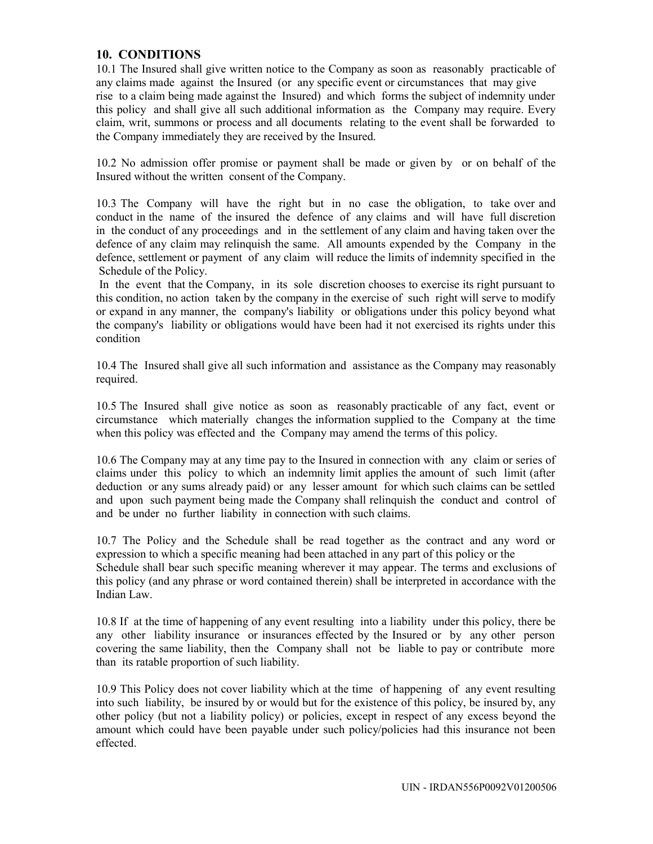### **10. CONDITIONS**

10.1 The Insured shall give written notice to the Company as soon as reasonably practicable of any claims made against the Insured (or any specific event or circumstances that may give rise to a claim being made against the Insured) and which forms the subject of indemnity under this policy and shall give all such additional information as the Company may require. Every claim, writ, summons or process and all documents relating to the event shall be forwarded to the Company immediately they are received by the Insured.

10.2 No admission offer promise or payment shall be made or given by or on behalf of the Insured without the written consent of the Company.

10.3 The Company will have the right but in no case the obligation, to take over and conduct in the name of the insured the defence of any claims and will have full discretion in the conduct of any proceedings and in the settlement of any claim and having taken over the defence of any claim may relinquish the same. All amounts expended by the Company in the defence, settlement or payment of any claim will reduce the limits of indemnity specified in the Schedule of the Policy.

 In the event that the Company, in its sole discretion chooses to exercise its right pursuant to this condition, no action taken by the company in the exercise of such right will serve to modify or expand in any manner, the company's liability or obligations under this policy beyond what the company's liability or obligations would have been had it not exercised its rights under this condition

10.4 The Insured shall give all such information and assistance as the Company may reasonably required.

10.5 The Insured shall give notice as soon as reasonably practicable of any fact, event or circumstance which materially changes the information supplied to the Company at the time when this policy was effected and the Company may amend the terms of this policy.

10.6 The Company may at any time pay to the Insured in connection with any claim or series of claims under this policy to which an indemnity limit applies the amount of such limit (after deduction or any sums already paid) or any lesser amount for which such claims can be settled and upon such payment being made the Company shall relinquish the conduct and control of and be under no further liability in connection with such claims.

10.7 The Policy and the Schedule shall be read together as the contract and any word or expression to which a specific meaning had been attached in any part of this policy or the Schedule shall bear such specific meaning wherever it may appear. The terms and exclusions of this policy (and any phrase or word contained therein) shall be interpreted in accordance with the Indian Law.

10.8 If at the time of happening of any event resulting into a liability under this policy, there be any other liability insurance or insurances effected by the Insured or by any other person covering the same liability, then the Company shall not be liable to pay or contribute more than its ratable proportion of such liability.

10.9 This Policy does not cover liability which at the time of happening of any event resulting into such liability, be insured by or would but for the existence of this policy, be insured by, any other policy (but not a liability policy) or policies, except in respect of any excess beyond the amount which could have been payable under such policy/policies had this insurance not been effected.